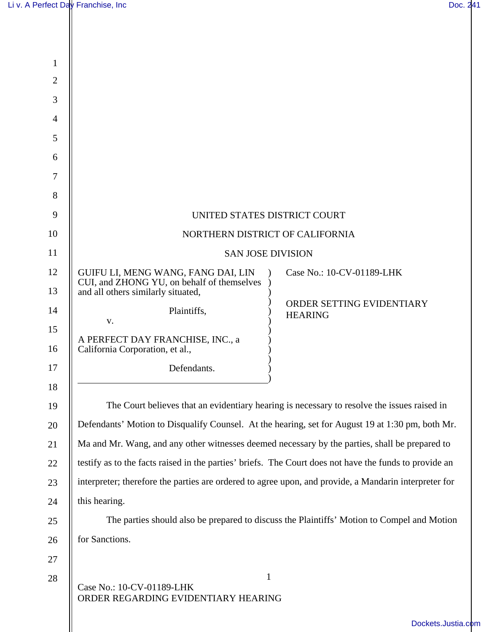| $\mathbf{1}$   |                                                                                                               |
|----------------|---------------------------------------------------------------------------------------------------------------|
| 2              |                                                                                                               |
| 3              |                                                                                                               |
| $\overline{4}$ |                                                                                                               |
| 5              |                                                                                                               |
| 6              |                                                                                                               |
| $\overline{7}$ |                                                                                                               |
| 8              |                                                                                                               |
| 9              | UNITED STATES DISTRICT COURT                                                                                  |
| 10             | NORTHERN DISTRICT OF CALIFORNIA                                                                               |
| 11             | <b>SAN JOSE DIVISION</b>                                                                                      |
| 12             | GUIFU LI, MENG WANG, FANG DAI, LIN<br>Case No.: 10-CV-01189-LHK<br>CUI, and ZHONG YU, on behalf of themselves |
| 13             | and all others similarly situated,                                                                            |
| 14             | ORDER SETTING EVIDENTIARY<br>Plaintiffs,<br><b>HEARING</b>                                                    |
| 15             | V.                                                                                                            |
| 16             | A PERFECT DAY FRANCHISE, INC., a<br>California Corporation, et al.,                                           |
| 17             | Defendants.                                                                                                   |
| 18             |                                                                                                               |
| 19             | The Court believes that an evidentiary hearing is necessary to resolve the issues raised in                   |
| 20             | Defendants' Motion to Disqualify Counsel. At the hearing, set for August 19 at 1:30 pm, both Mr.              |
| 21             | Ma and Mr. Wang, and any other witnesses deemed necessary by the parties, shall be prepared to                |
| 22             | testify as to the facts raised in the parties' briefs. The Court does not have the funds to provide an        |
| 23             | interpreter; therefore the parties are ordered to agree upon, and provide, a Mandarin interpreter for         |
| 24             | this hearing.                                                                                                 |
| 25             | The parties should also be prepared to discuss the Plaintiffs' Motion to Compel and Motion                    |
| 26             | for Sanctions.                                                                                                |
| 27             |                                                                                                               |
| 28             | $\mathbf{1}$<br>Case No.: 10-CV-01189-LHK<br>ORDER REGARDING EVIDENTIARY HEARING                              |
|                | Dockets.Justia.com                                                                                            |